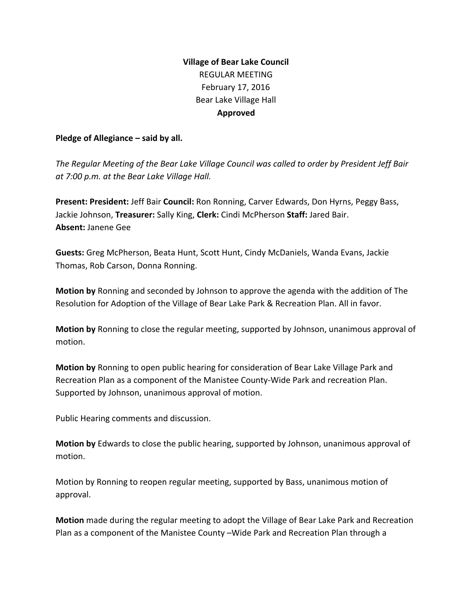# **Village of Bear Lake Council** REGULAR MEETING February 17, 2016 Bear Lake Village Hall **Approved**

#### **Pledge of Allegiance – said by all.**

*The Regular Meeting of the Bear Lake Village Council was called to order by President Jeff Bair at 7:00 p.m. at the Bear Lake Village Hall.*

**Present: President:** Jeff Bair **Council:**Ron Ronning, Carver Edwards, Don Hyrns, Peggy Bass, Jackie Johnson, **Treasurer:** Sally King, **Clerk:**Cindi McPherson **Staff:**Jared Bair. **Absent:** Janene Gee

**Guests:**Greg McPherson, Beata Hunt, Scott Hunt, Cindy McDaniels, Wanda Evans, Jackie Thomas, Rob Carson, Donna Ronning.

**Motion by**Ronning and seconded by Johnson to approve the agenda with the addition of The Resolution for Adoption of the Village of Bear Lake Park & Recreation Plan. All in favor.

**Motion by**Ronning to close the regular meeting, supported by Johnson, unanimous approval of motion.

**Motion by**Ronning to open public hearing for consideration of Bear Lake Village Park and Recreation Plan as a component of the Manistee County-Wide Park and recreation Plan. Supported by Johnson, unanimous approval of motion.

Public Hearing comments and discussion.

**Motion by**Edwards to close the public hearing, supported by Johnson, unanimous approval of motion.

Motion by Ronning to reopen regular meeting, supported by Bass, unanimous motion of approval.

**Motion** made during the regular meeting to adopt the Village of Bear Lake Park and Recreation Plan as a component of the Manistee County –Wide Park and Recreation Plan through a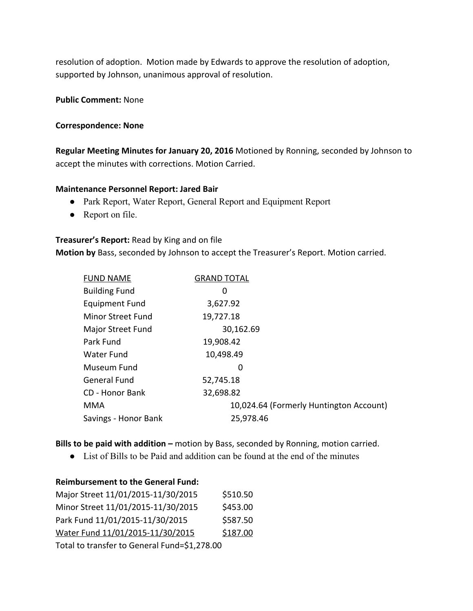resolution of adoption. Motion made by Edwards to approve the resolution of adoption, supported by Johnson, unanimous approval of resolution.

#### **Public Comment: None**

#### **Correspondence: None**

**Regular Meeting Minutes for January 20, 2016** Motioned by Ronning, seconded by Johnson to accept the minutes with corrections. Motion Carried.

#### **Maintenance Personnel Report: Jared Bair**

- Park Report, Water Report, General Report and Equipment Report
- Report on file.

#### **Treasurer's Report:** Read by King and on file

**Motion by**Bass, seconded by Johnson to accept the Treasurer's Report. Motion carried.

| <b>FUND NAME</b>         | <b>GRAND TOTAL</b>                      |
|--------------------------|-----------------------------------------|
| <b>Building Fund</b>     | 0                                       |
| <b>Equipment Fund</b>    | 3,627.92                                |
| <b>Minor Street Fund</b> | 19,727.18                               |
| <b>Major Street Fund</b> | 30,162.69                               |
| Park Fund                | 19,908.42                               |
| Water Fund               | 10,498.49                               |
| Museum Fund              | 0                                       |
| <b>General Fund</b>      | 52,745.18                               |
| CD - Honor Bank          | 32,698.82                               |
| <b>MMA</b>               | 10,024.64 (Formerly Huntington Account) |
| Savings - Honor Bank     | 25,978.46                               |

**Bills to be paid with addition –** motion by Bass, seconded by Ronning, motion carried.

● List of Bills to be Paid and addition can be found at the end of the minutes

#### **Reimbursement to the General Fund:**

| Major Street 11/01/2015-11/30/2015           | \$510.50 |  |  |  |
|----------------------------------------------|----------|--|--|--|
| Minor Street 11/01/2015-11/30/2015           | \$453.00 |  |  |  |
| Park Fund 11/01/2015-11/30/2015              | \$587.50 |  |  |  |
| Water Fund 11/01/2015-11/30/2015             | \$187.00 |  |  |  |
| Total to transfer to General Fund=\$1,278.00 |          |  |  |  |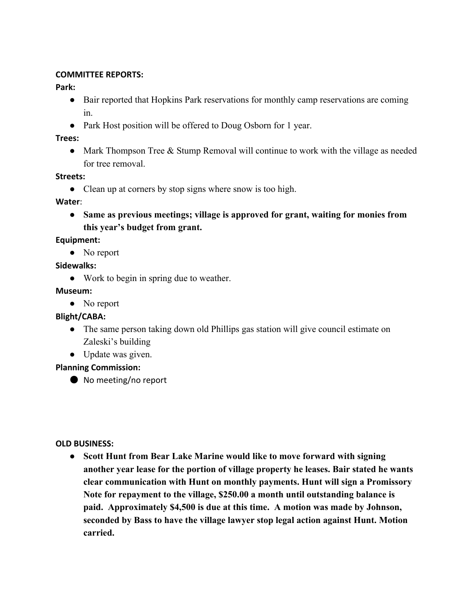### **COMMITTEE REPORTS:**

## **Park:**

- Bair reported that Hopkins Park reservations for monthly camp reservations are coming in.
- Park Host position will be offered to Doug Osborn for 1 year.

## **Trees:**

• Mark Thompson Tree & Stump Removal will continue to work with the village as needed for tree removal.

## **Streets:**

• Clean up at corners by stop signs where snow is too high.

### **Water**:

**● Same as previous meetings; village is approved for grant, waiting for monies from this year's budget from grant.**

## **Equipment:**

• No report

## **Sidewalks:**

● Work to begin in spring due to weather.

## **Museum:**

• No report

## **Blight/CABA:**

- The same person taking down old Phillips gas station will give council estimate on Zaleski's building
- Update was given.

## **Planning Commission:**

● No meeting/no report

### **OLD BUSINESS:**

**● Scott Hunt from Bear Lake Marine would like to move forward with signing another year lease for the portion of village property he leases. Bair stated he wants clear communication with Hunt on monthly payments. Hunt will sign a Promissory Note for repayment to the village, \$250.00 a month until outstanding balance is paid. Approximately \$4,500 is due at this time. A motion was made by Johnson, seconded by Bass to have the village lawyer stop legal action against Hunt. Motion carried.**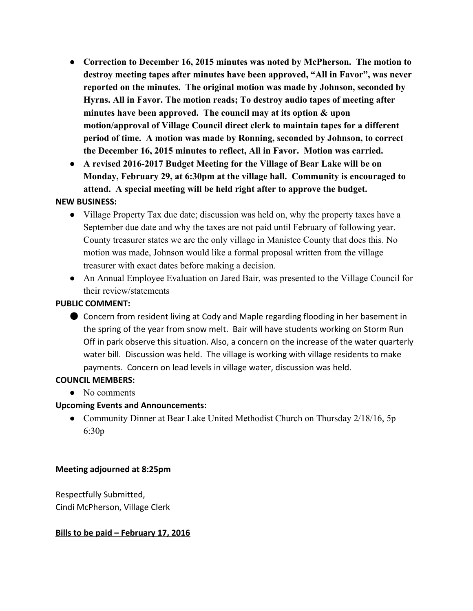- **● Correction to December 16, 2015 minutes was noted by McPherson. The motion to destroy meeting tapes after minutes have been approved, "All in Favor", was never reported on the minutes. The original motion was made by Johnson, seconded by Hyrns. All in Favor. The motion reads; To destroy audio tapes of meeting after minutes have been approved. The council may at its option & upon motion/approval of Village Council direct clerk to maintain tapes for a different period of time. A motion was made by Ronning, seconded by Johnson, to correct the December 16, 2015 minutes to reflect, All in Favor. Motion was carried.**
- **● A revised 20162017 Budget Meeting for the Village of Bear Lake will be on Monday, February 29, at 6:30pm at the village hall. Community is encouraged to attend. A special meeting will be held right after to approve the budget.**

### **NEW BUSINESS:**

- Village Property Tax due date; discussion was held on, why the property taxes have a September due date and why the taxes are not paid until February of following year. County treasurer states we are the only village in Manistee County that does this. No motion was made, Johnson would like a formal proposal written from the village treasurer with exact dates before making a decision.
- An Annual Employee Evaluation on Jared Bair, was presented to the Village Council for their review/statements

### **PUBLIC COMMENT:**

● Concern from resident living at Cody and Maple regarding flooding in her basement in the spring of the year from snow melt. Bair will have students working on Storm Run Off in park observe this situation. Also, a concern on the increase of the water quarterly water bill. Discussion was held. The village is working with village residents to make payments. Concern on lead levels in village water, discussion was held.

#### **COUNCIL MEMBERS:**

• No comments

### **Upcoming Events and Announcements:**

• Community Dinner at Bear Lake United Methodist Church on Thursday 2/18/16, 5p – 6:30p

#### **Meeting adjourned at 8:25pm**

Respectfully Submitted, Cindi McPherson, Village Clerk

### **Bills to be paid – February 17, 2016**